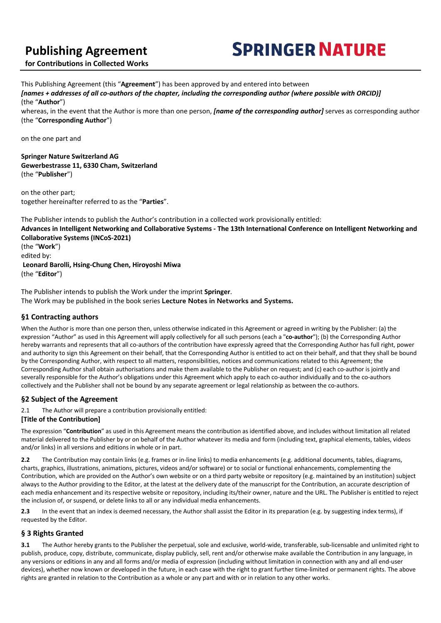# **Publishing Agreement**

# **SPRINGER NATURE**

**for Contributions in Collected Works**

This Publishing Agreement (this "**Agreement**") has been approved by and entered into between *[names + addresses of all co-authors of the chapter, including the corresponding author (where possible with ORCID)]* (the "**Author**") whereas, in the event that the Author is more than one person, *[name of the corresponding author]* serves as corresponding author (the "**Corresponding Author**")

on the one part and

#### **Springer Nature Switzerland AG Gewerbestrasse 11, 6330 Cham, Switzerland** (the "**Publisher**")

on the other part; together hereinafter referred to as the "**Parties**".

The Publisher intends to publish the Author's contribution in a collected work provisionally entitled: **Advances in Intelligent Networking and Collaborative Systems - The 13th International Conference on Intelligent Networking and Collaborative Systems (INCoS-2021)** (the "**Work**") edited by: **Leonard Barolli, Hsing-Chung Chen, Hiroyoshi Miwa** (the "**Editor**")

The Publisher intends to publish the Work under the imprint **Springer**. The Work may be published in the book series **Lecture Notes in Networks and Systems.**

# **§1 Contracting authors**

When the Author is more than one person then, unless otherwise indicated in this Agreement or agreed in writing by the Publisher: (a) the expression "Author" as used in this Agreement will apply collectively for all such persons (each a "**co-author**"); (b) the Corresponding Author hereby warrants and represents that all co-authors of the contribution have expressly agreed that the Corresponding Author has full right, power and authority to sign this Agreement on their behalf, that the Corresponding Author is entitled to act on their behalf, and that they shall be bound by the Corresponding Author, with respect to all matters, responsibilities, notices and communications related to this Agreement; the Corresponding Author shall obtain authorisations and make them available to the Publisher on request; and (c) each co-author is jointly and severally responsible for the Author's obligations under this Agreement which apply to each co-author individually and to the co-authors collectively and the Publisher shall not be bound by any separate agreement or legal relationship as between the co-authors.

# **§2 Subject of the Agreement**

2.1 The Author will prepare a contribution provisionally entitled:

# **[Title of the Contribution]**

The expression "**Contribution**" as used in this Agreement means the contribution as identified above, and includes without limitation all related material delivered to the Publisher by or on behalf of the Author whatever its media and form (including text, graphical elements, tables, videos and/or links) in all versions and editions in whole or in part.

**2.2** The Contribution may contain links (e.g. frames or in-line links) to media enhancements (e.g. additional documents, tables, diagrams, charts, graphics, illustrations, animations, pictures, videos and/or software) or to social or functional enhancements, complementing the Contribution, which are provided on the Author's own website or on a third party website or repository (e.g. maintained by an institution) subject always to the Author providing to the Editor, at the latest at the delivery date of the manuscript for the Contribution, an accurate description of each media enhancement and its respective website or repository, including its/their owner, nature and the URL. The Publisher is entitled to reject the inclusion of, or suspend, or delete links to all or any individual media enhancements.

2.3 In the event that an index is deemed necessary, the Author shall assist the Editor in its preparation (e.g. by suggesting index terms), if requested by the Editor.

# **§ 3 Rights Granted**

**3.1** The Author hereby grants to the Publisher the perpetual, sole and exclusive, world-wide, transferable, sub-licensable and unlimited right to publish, produce, copy, distribute, communicate, display publicly, sell, rent and/or otherwise make available the Contribution in any language, in any versions or editions in any and all forms and/or media of expression (including without limitation in connection with any and all end-user devices), whether now known or developed in the future, in each case with the right to grant further time-limited or permanent rights. The above rights are granted in relation to the Contribution as a whole or any part and with or in relation to any other works.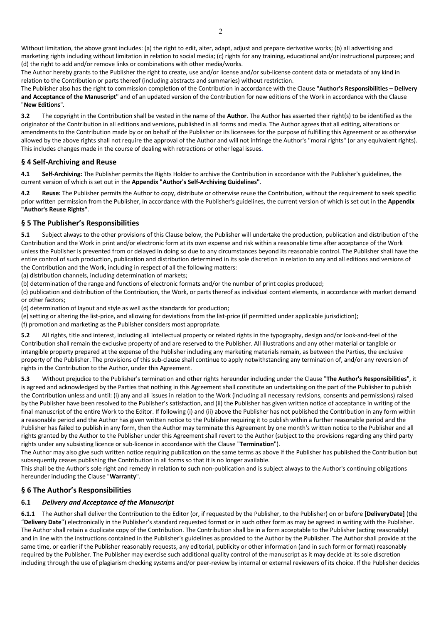Without limitation, the above grant includes: (a) the right to edit, alter, adapt, adjust and prepare derivative works; (b) all advertising and marketing rights including without limitation in relation to social media; (c) rights for any training, educational and/or instructional purposes; and (d) the right to add and/or remove links or combinations with other media/works.

The Author hereby grants to the Publisher the right to create, use and/or license and/or sub-license content data or metadata of any kind in relation to the Contribution or parts thereof (including abstracts and summaries) without restriction.

The Publisher also has the right to commission completion of the Contribution in accordance with the Clause "**Author's Responsibilities – Delivery and Acceptance of the Manuscript**" and of an updated version of the Contribution for new editions of the Work in accordance with the Clause "**New Editions**"**.**

**3.2** The copyright in the Contribution shall be vested in the name of the **Author**. The Author has asserted their right(s) to be identified as the originator of the Contribution in all editions and versions, published in all forms and media. The Author agrees that all editing, alterations or amendments to the Contribution made by or on behalf of the Publisher or its licensees for the purpose of fulfilling this Agreement or as otherwise allowed by the above rights shall not require the approval of the Author and will not infringe the Author's "moral rights" (or any equivalent rights). This includes changes made in the course of dealing with retractions or other legal issues**.**

#### **§ 4 Self-Archiving and Reuse**

**4.1 Self-Archiving:** The Publisher permits the Rights Holder to archive the Contribution in accordance with the Publisher's guidelines, the current version of which is set out in the **Appendix "Author's Self-Archiving Guidelines"**.

**4.2 Reuse:** The Publisher permits the Author to copy, distribute or otherwise reuse the Contribution, without the requirement to seek specific prior written permission from the Publisher, in accordance with the Publisher's guidelines, the current version of which is set out in the **Appendix "Author's Reuse Rights"**.

#### **§ 5 The Publisher's Responsibilities**

**5.1** Subject always to the other provisions of this Clause below, the Publisher will undertake the production, publication and distribution of the Contribution and the Work in print and/or electronic form at its own expense and risk within a reasonable time after acceptance of the Work unless the Publisher is prevented from or delayed in doing so due to any circumstances beyond its reasonable control. The Publisher shall have the entire control of such production, publication and distribution determined in its sole discretion in relation to any and all editions and versions of the Contribution and the Work, including in respect of all the following matters:

(a) distribution channels, including determination of markets;

(b) determination of the range and functions of electronic formats and/or the number of print copies produced;

(c) publication and distribution of the Contribution, the Work, or parts thereof as individual content elements, in accordance with market demand or other factors;

(d) determination of layout and style as well as the standards for production;

(e) setting or altering the list-price, and allowing for deviations from the list-price (if permitted under applicable jurisdiction);

(f) promotion and marketing as the Publisher considers most appropriate.

**5.2** All rights, title and interest, including all intellectual property or related rights in the typography, design and/or look-and-feel of the Contribution shall remain the exclusive property of and are reserved to the Publisher. All illustrations and any other material or tangible or intangible property prepared at the expense of the Publisher including any marketing materials remain, as between the Parties, the exclusive property of the Publisher. The provisions of this sub-clause shall continue to apply notwithstanding any termination of, and/or any reversion of rights in the Contribution to the Author, under this Agreement.

**5.3** Without prejudice to the Publisher's termination and other rights hereunder including under the Clause "**The Author's Responsibilities**", it is agreed and acknowledged by the Parties that nothing in this Agreement shall constitute an undertaking on the part of the Publisher to publish the Contribution unless and until: (i) any and all issues in relation to the Work (including all necessary revisions, consents and permissions) raised by the Publisher have been resolved to the Publisher's satisfaction, and (ii) the Publisher has given written notice of acceptance in writing of the final manuscript of the entire Work to the Editor. If following (i) and (ii) above the Publisher has not published the Contribution in any form within a reasonable period and the Author has given written notice to the Publisher requiring it to publish within a further reasonable period and the Publisher has failed to publish in any form, then the Author may terminate this Agreement by one month's written notice to the Publisher and all rights granted by the Author to the Publisher under this Agreement shall revert to the Author (subject to the provisions regarding any third party rights under any subsisting licence or sub-licence in accordance with the Clause "**Termination**").

The Author may also give such written notice requiring publication on the same terms as above if the Publisher has published the Contribution but subsequently ceases publishing the Contribution in all forms so that it is no longer available.

This shall be the Author's sole right and remedy in relation to such non-publication and is subject always to the Author's continuing obligations hereunder including the Clause "**Warranty**".

# **§ 6 The Author's Responsibilities**

#### **6.1** *Delivery and Acceptance of the Manuscript*

**6.1.1** The Author shall deliver the Contribution to the Editor (or, if requested by the Publisher, to the Publisher) on or before **[DeliveryDate]** (the "**Delivery Date**") electronically in the Publisher's standard requested format or in such other form as may be agreed in writing with the Publisher. The Author shall retain a duplicate copy of the Contribution. The Contribution shall be in a form acceptable to the Publisher (acting reasonably) and in line with the instructions contained in the Publisher's guidelines as provided to the Author by the Publisher. The Author shall provide at the same time, or earlier if the Publisher reasonably requests, any editorial, publicity or other information (and in such form or format) reasonably required by the Publisher. The Publisher may exercise such additional quality control of the manuscript as it may decide at its sole discretion including through the use of plagiarism checking systems and/or peer-review by internal or external reviewers of its choice. If the Publisher decides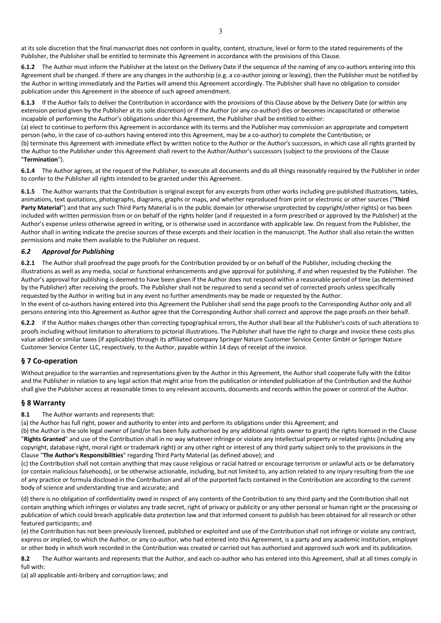at its sole discretion that the final manuscript does not conform in quality, content, structure, level or form to the stated requirements of the Publisher, the Publisher shall be entitled to terminate this Agreement in accordance with the provisions of this Clause.

**6.1.2** The Author must inform the Publisher at the latest on the Delivery Date if the sequence of the naming of any co-authors entering into this Agreement shall be changed. If there are any changes in the authorship (e.g. a co-author joining or leaving), then the Publisher must be notified by the Author in writing immediately and the Parties will amend this Agreement accordingly. The Publisher shall have no obligation to consider publication under this Agreement in the absence of such agreed amendment.

**6.1.3** If the Author fails to deliver the Contribution in accordance with the provisions of this Clause above by the Delivery Date (or within any extension period given by the Publisher at its sole discretion) or if the Author (or any co-author) dies or becomes incapacitated or otherwise incapable of performing the Author's obligations under this Agreement, the Publisher shall be entitled to either:

(a) elect to continue to perform this Agreement in accordance with its terms and the Publisher may commission an appropriate and competent person (who, in the case of co-authors having entered into this Agreement, may be a co-author) to complete the Contribution; or (b) terminate this Agreement with immediate effect by written notice to the Author or the Author's successors, in which case all rights granted by the Author to the Publisher under this Agreement shall revert to the Author/Author's successors (subject to the provisions of the Clause "**Termination**").

**6.1.4** The Author agrees, at the request of the Publisher, to execute all documents and do all things reasonably required by the Publisher in order to confer to the Publisher all rights intended to be granted under this Agreement.

**6.1.5** The Author warrants that the Contribution is original except for any excerpts from other works including pre-published illustrations, tables, animations, text quotations, photographs, diagrams, graphs or maps, and whether reproduced from print or electronic or other sources ("**Third Party Material**") and that any such Third Party Material is in the public domain (or otherwise unprotected by copyright/other rights) or has been included with written permission from or on behalf of the rights holder (and if requested in a form prescribed or approved by the Publisher) at the Author's expense unless otherwise agreed in writing, or is otherwise used in accordance with applicable law. On request from the Publisher, the Author shall in writing indicate the precise sources of these excerpts and their location in the manuscript. The Author shall also retain the written permissions and make them available to the Publisher on request.

#### *6.2 Approval for Publishing*

**6.2.1** The Author shall proofread the page proofs for the Contribution provided by or on behalf of the Publisher, including checking the illustrations as well as any media, social or functional enhancements and give approval for publishing, if and when requested by the Publisher. The Author's approval for publishing is deemed to have been given if the Author does not respond within a reasonable period of time (as determined by the Publisher) after receiving the proofs. The Publisher shall not be required to send a second set of corrected proofs unless specifically requested by the Author in writing but in any event no further amendments may be made or requested by the Author.

In the event of co-authors having entered into this Agreement the Publisher shall send the page proofs to the Corresponding Author only and all persons entering into this Agreement as Author agree that the Corresponding Author shall correct and approve the page proofs on their behalf.

**6.2.2** If the Author makes changes other than correcting typographical errors, the Author shall bear all the Publisher's costs of such alterations to proofs including without limitation to alterations to pictorial illustrations. The Publisher shall have the right to charge and invoice these costs plus value added or similar taxes (if applicable) through its affiliated company Springer Nature Customer Service Center GmbH or Springer Nature Customer Service Center LLC, respectively, to the Author, payable within 14 days of receipt of the invoice.

#### **§ 7 Co-operation**

Without prejudice to the warranties and representations given by the Author in this Agreement, the Author shall cooperate fully with the Editor and the Publisher in relation to any legal action that might arise from the publication or intended publication of the Contribution and the Author shall give the Publisher access at reasonable times to any relevant accounts, documents and records within the power or control of the Author.

#### **§ 8 Warranty**

**8.1** The Author warrants and represents that:

(a) the Author has full right, power and authority to enter into and perform its obligations under this Agreement; and

(b) the Author is the sole legal owner of (and/or has been fully authorised by any additional rights owner to grant) the rights licensed in the Clause "**Rights Granted**" and use of the Contribution shall in no way whatever infringe or violate any intellectual property or related rights (including any copyright, database right, moral right or trademark right) or any other right or interest of any third party subject only to the provisions in the Clause "**The Author's Responsibilities**" regarding Third Party Material (as defined above); and

(c) the Contribution shall not contain anything that may cause religious or racial hatred or encourage terrorism or unlawful acts or be defamatory (or contain malicious falsehoods), or be otherwise actionable, including, but not limited to, any action related to any injury resulting from the use of any practice or formula disclosed in the Contribution and all of the purported facts contained in the Contribution are according to the current body of science and understanding true and accurate; and

(d) there is no obligation of confidentiality owed in respect of any contents of the Contribution to any third party and the Contribution shall not contain anything which infringes or violates any trade secret, right of privacy or publicity or any other personal or human right or the processing or publication of which could breach applicable data protection law and that informed consent to publish has been obtained for all research or other featured participants; and

(e) the Contribution has not been previously licensed, published or exploited and use of the Contribution shall not infringe or violate any contract, express or implied, to which the Author, or any co-author, who had entered into this Agreement, is a party and any academic institution, employer or other body in which work recorded in the Contribution was created or carried out has authorised and approved such work and its publication.

**8.2** The Author warrants and represents that the Author, and each co-author who has entered into this Agreement, shall at all times comply in full with:

(a) all applicable anti-bribery and corruption laws; and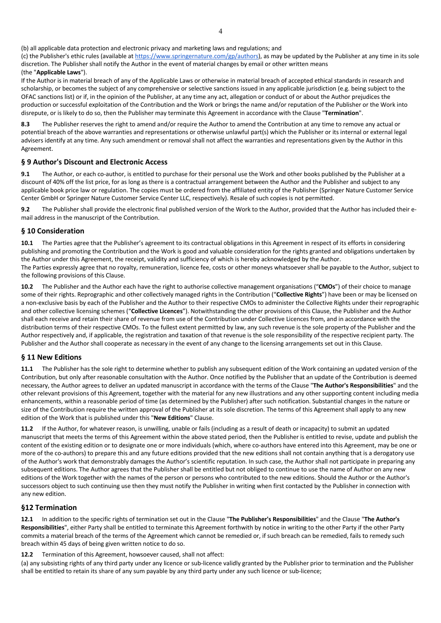(b) all applicable data protection and electronic privacy and marketing laws and regulations; and

(c) the Publisher's ethic rules (available at https://www.springernature.com/gp/authors), as may be updated by the Publisher at any time in its sole discretion. The Publisher shall notify the Author in the event of material changes by email or other written means (the "**Applicable Laws**").

If the Author is in material breach of any of the Applicable Laws or otherwise in material breach of accepted ethical standards in research and scholarship, or becomes the subject of any comprehensive or selective sanctions issued in any applicable jurisdiction (e.g. being subject to the OFAC sanctions list) or if, in the opinion of the Publisher, at any time any act, allegation or conduct of or about the Author prejudices the production or successful exploitation of the Contribution and the Work or brings the name and/or reputation of the Publisher or the Work into disrepute, or is likely to do so, then the Publisher may terminate this Agreement in accordance with the Clause "**Termination**".

**8.3** The Publisher reserves the right to amend and/or require the Author to amend the Contribution at any time to remove any actual or potential breach of the above warranties and representations or otherwise unlawful part(s) which the Publisher or its internal or external legal advisers identify at any time. Any such amendment or removal shall not affect the warranties and representations given by the Author in this Agreement.

#### **§ 9 Author's Discount and Electronic Access**

**9.1** The Author, or each co-author, is entitled to purchase for their personal use the Work and other books published by the Publisher at a discount of 40% off the list price, for as long as there is a contractual arrangement between the Author and the Publisher and subject to any applicable book price law or regulation. The copies must be ordered from the affiliated entity of the Publisher (Springer Nature Customer Service Center GmbH or Springer Nature Customer Service Center LLC, respectively). Resale of such copies is not permitted.

**9.2** The Publisher shall provide the electronic final published version of the Work to the Author, provided that the Author has included their email address in the manuscript of the Contribution.

#### **§ 10 Consideration**

**10.1** The Parties agree that the Publisher's agreement to its contractual obligations in this Agreement in respect of its efforts in considering publishing and promoting the Contribution and the Work is good and valuable consideration for the rights granted and obligations undertaken by the Author under this Agreement, the receipt, validity and sufficiency of which is hereby acknowledged by the Author. The Parties expressly agree that no royalty, remuneration, licence fee, costs or other moneys whatsoever shall be payable to the Author, subject to the following provisions of this Clause.

**10.2** The Publisher and the Author each have the right to authorise collective management organisations ("**CMOs**") of their choice to manage some of their rights. Reprographic and other collectively managed rights in the Contribution ("**Collective Rights**") have been or may be licensed on a non-exclusive basis by each of the Publisher and the Author to their respective CMOs to administer the Collective Rights under their reprographic and other collective licensing schemes ("**Collective Licences**"). Notwithstanding the other provisions of this Clause, the Publisher and the Author shall each receive and retain their share of revenue from use of the Contribution under Collective Licences from, and in accordance with the distribution terms of their respective CMOs. To the fullest extent permitted by law, any such revenue is the sole property of the Publisher and the Author respectively and, if applicable, the registration and taxation of that revenue is the sole responsibility of the respective recipient party. The Publisher and the Author shall cooperate as necessary in the event of any change to the licensing arrangements set out in this Clause.

#### **§ 11 New Editions**

**11.1** The Publisher has the sole right to determine whether to publish any subsequent edition of the Work containing an updated version of the Contribution, but only after reasonable consultation with the Author. Once notified by the Publisher that an update of the Contribution is deemed necessary, the Author agrees to deliver an updated manuscript in accordance with the terms of the Clause "**The Author's Responsibilities**" and the other relevant provisions of this Agreement, together with the material for any new illustrations and any other supporting content including media enhancements, within a reasonable period of time (as determined by the Publisher) after such notification. Substantial changes in the nature or size of the Contribution require the written approval of the Publisher at its sole discretion. The terms of this Agreement shall apply to any new edition of the Work that is published under this "**New Editions**" Clause.

**11.2** If the Author, for whatever reason, is unwilling, unable or fails (including as a result of death or incapacity) to submit an updated manuscript that meets the terms of this Agreement within the above stated period, then the Publisher is entitled to revise, update and publish the content of the existing edition or to designate one or more individuals (which, where co-authors have entered into this Agreement, may be one or more of the co-authors) to prepare this and any future editions provided that the new editions shall not contain anything that is a derogatory use of the Author's work that demonstrably damages the Author's scientific reputation. In such case, the Author shall not participate in preparing any subsequent editions. The Author agrees that the Publisher shall be entitled but not obliged to continue to use the name of Author on any new editions of the Work together with the names of the person or persons who contributed to the new editions. Should the Author or the Author's successors object to such continuing use then they must notify the Publisher in writing when first contacted by the Publisher in connection with any new edition.

#### **§12 Termination**

**12.1** In addition to the specific rights of termination set out in the Clause "**The Publisher's Responsibilities**" and the Clause "**The Author's Responsibilities**", either Party shall be entitled to terminate this Agreement forthwith by notice in writing to the other Party if the other Party commits a material breach of the terms of the Agreement which cannot be remedied or, if such breach can be remedied, fails to remedy such breach within 45 days of being given written notice to do so.

**12.2** Termination of this Agreement, howsoever caused, shall not affect:

(a) any subsisting rights of any third party under any licence or sub-licence validly granted by the Publisher prior to termination and the Publisher shall be entitled to retain its share of any sum payable by any third party under any such licence or sub-licence;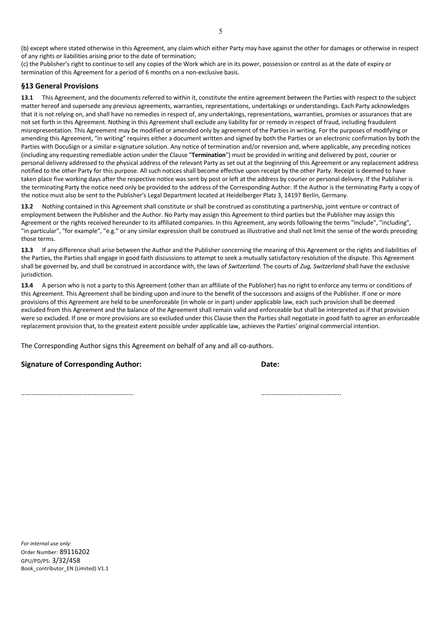(b) except where stated otherwise in this Agreement, any claim which either Party may have against the other for damages or otherwise in respect of any rights or liabilities arising prior to the date of termination;

(c) the Publisher's right to continue to sell any copies of the Work which are in its power, possession or control as at the date of expiry or termination of this Agreement for a period of 6 months on a non-exclusive basis.

#### **§13 General Provisions**

**13.1** This Agreement, and the documents referred to within it, constitute the entire agreement between the Parties with respect to the subject matter hereof and supersede any previous agreements, warranties, representations, undertakings or understandings. Each Party acknowledges that it is not relying on, and shall have no remedies in respect of, any undertakings, representations, warranties, promises or assurances that are not set forth in this Agreement. Nothing in this Agreement shall exclude any liability for or remedy in respect of fraud, including fraudulent misrepresentation. This Agreement may be modified or amended only by agreement of the Parties in writing. For the purposes of modifying or amending this Agreement, "in writing" requires either a document written and signed by both the Parties or an electronic confirmation by both the Parties with DocuSign or a similar e-signature solution. Any notice of termination and/or reversion and, where applicable, any preceding notices (including any requesting remediable action under the Clause "**Termination**") must be provided in writing and delivered by post, courier or personal delivery addressed to the physical address of the relevant Party as set out at the beginning of this Agreement or any replacement address notified to the other Party for this purpose. All such notices shall become effective upon receipt by the other Party. Receipt is deemed to have taken place five working days after the respective notice was sent by post or left at the address by courier or personal delivery. If the Publisher is the terminating Party the notice need only be provided to the address of the Corresponding Author. If the Author is the terminating Party a copy of the notice must also be sent to the Publisher's Legal Department located at Heidelberger Platz 3, 14197 Berlin, Germany.

13.2 Nothing contained in this Agreement shall constitute or shall be construed as constituting a partnership, joint venture or contract of employment between the Publisher and the Author. No Party may assign this Agreement to third parties but the Publisher may assign this Agreement or the rights received hereunder to its affiliated companies. In this Agreement, any words following the terms "include", "including", "in particular", "for example", "e.g." or any similar expression shall be construed as illustrative and shall not limit the sense of the words preceding those terms.

**13.3** If any difference shall arise between the Author and the Publisher concerning the meaning of this Agreement or the rights and liabilities of the Parties, the Parties shall engage in good faith discussions to attempt to seek a mutually satisfactory resolution of the dispute. This Agreement shall be governed by, and shall be construed in accordance with, the laws of *Switzerland*. The courts of *Zug, Switzerland* shall have the exclusive jurisdiction.

**13.4** A person who is not a party to this Agreement (other than an affiliate of the Publisher) has no right to enforce any terms or conditions of this Agreement. This Agreement shall be binding upon and inure to the benefit of the successors and assigns of the Publisher. If one or more provisions of this Agreement are held to be unenforceable (in whole or in part) under applicable law, each such provision shall be deemed excluded from this Agreement and the balance of the Agreement shall remain valid and enforceable but shall be interpreted as if that provision were so excluded. If one or more provisions are so excluded under this Clause then the Parties shall negotiate in good faith to agree an enforceable replacement provision that, to the greatest extent possible under applicable law, achieves the Parties' original commercial intention.

The Corresponding Author signs this Agreement on behalf of any and all co-authors.

#### **Signature of Corresponding Author: Date:**

………………………………………………………… ………………………………………..1

*For internal use only:* Order Number: 89116202 GPU/PD/PS: 3/32/458 Book\_contributor\_EN (Limited) V1.1